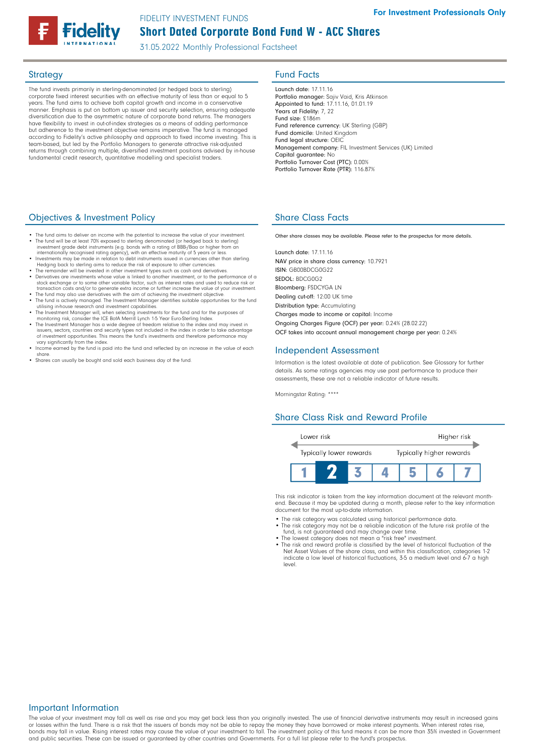# Short Dated Corporate Bond Fund W - ACC Shares FIDELITY INVESTMENT FUNDS

31.05.2022 Monthly Professional Factsheet

The fund invests primarily in sterling-denominated (or hedged back to sterling) corporate fixed interest securities with an effective maturity of less than or equal to 5 years. The fund aims to achieve both capital growth and income in a conservative manner. Emphasis is put on bottom up issuer and security selection, ensuring adequate diversification due to the asymmetric nature of corporate bond returns. The managers have flexibility to invest in out-of-index strategies as a means of adding performance but adherence to the investment objective remains imperative. The fund is managed according to Fidelity's active philosophy and approach to fixed income investing. This is team-based, but led by the Portfolio Managers to generate attractive risk-adjusted returns through combining multiple, diversified investment positions advised by in-house fundamental credit research, quantitative modelling and specialist traders.

### Objectives & Investment Policy

- The fund aims to deliver an income with the potential to increase the value of your investment. • The fund will be at least 70% exposed to sterling denominated (or hedged back to sterling) investment grade debt instruments (e.g. bonds with a rating of BBB-/Baa or higher from an
- internationally recognised rating agency), with an effective maturity of 5 years or less.<br>• Investments may be made in relation to debt instruments issued in currencies other than sterling.<br>Hedging back to sterling aims to
- 
- The remainder will be invested in other investment types such as cash and derivatives. Derivatives are investments whose value is linked to another investment, or to the performance of a
- 
- 
- stock exchange or to some other variable factor, such as interest rates and used to reduce risk or<br>transaction costs and/or to generate extra income or further increase the value of your investment.<br>The fund may also use d of investment opportunities. This means the fund's investments and therefore performance may vary significantly from the index.
- Income earned by the fund is paid into the fund and reflected by an increase in the value of each share.
- Shares can usually be bought and sold each business day of the fund.

## **Strategy Fund Facts**

Launch date: 17.11.16 Portfolio manager: Sajiv Vaid, Kris Atkinson Appointed to fund: 17.11.16, 01.01.19 Years at Fidelity: 7, 22 Fund size: £186m Fund reference currency: UK Sterling (GBP) Fund domicile: United Kingdom Fund legal structure: OEIC Management company: FIL Investment Services (UK) Limited Capital guarantee: No Portfolio Turnover Cost (PTC): 0.00% Portfolio Turnover Rate (PTR): 116.87%

## Share Class Facts

Other share classes may be available. Please refer to the prospectus for more details.

Launch date: 17.11.16 NAV price in share class currency: 10.7921 ISIN: GB00BDCG0G22 SEDOL: BDCG0G2 Bloomberg: FSDCYGA LN Dealing cut-off: 12:00 UK time Distribution type: Accumulating Charges made to income or capital: Income Ongoing Charges Figure (OCF) per year: 0.24% (28.02.22) OCF takes into account annual management charge per year: 0.24%

### Independent Assessment

Information is the latest available at date of publication. See Glossary for further details. As some ratings agencies may use past performance to produce their assessments, these are not a reliable indicator of future results.

Morningstar Rating: \*\*\*\*

### Share Class Risk and Reward Profile



This risk indicator is taken from the key information document at the relevant monthend. Because it may be updated during a month, please refer to the key information document for the most up-to-date information.

- The risk category was calculated using historical performance data. • The risk category may not be a reliable indication of the future risk profile of the
- 
- fund, is not guaranteed and may change over time.<br>● The lowest category does not mean a "risk free" investment.<br>● The risk and reward profile is classified by the level of historical fluctuation of the<br>Net Asset Values of indicate a low level of historical fluctuations, 3-5 a medium level and 6-7 a high level.

### Important Information

The value of your investment may fall as well as rise and you may get back less than you originally invested. The use of financial derivative instruments may result in increased gains or losses within the fund. There is a risk that the issuers of bonds may not be able to repay the money they have borrowed or make interest payments. When interest rates rise, bonds may fall in value. Rising interest rates may cause the value of your investment to fall. The investment policy of this fund means it can be more than 35% invested in Government and public securities. These can be issued or guaranteed by other countries and Governments. For a full list please refer to the fund's prospectus.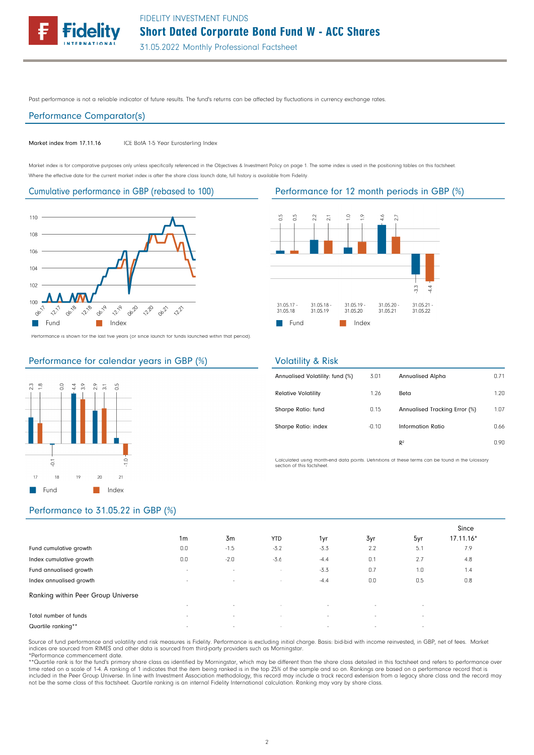

Past performance is not a reliable indicator of future results. The fund's returns can be affected by fluctuations in currency exchange rates.

#### Performance Comparator(s)

#### Market index from 17.11.16 ICE BofA 1-5 Year Eurosterling Index

Market index is for comparative purposes only unless specifically referenced in the Objectives & Investment Policy on page 1. The same index is used in the positioning tables on this factsheet. Where the effective date for the current market index is after the share class launch date, full history is available from Fidelity.



Performance is shown for the last five years (or since launch for funds launched within that period).



Cumulative performance in GBP (rebased to 100) Performance for 12 month periods in GBP (%)



### Performance for calendar years in GBP (%)



### Volatility & Risk

| Annualised Volatility: fund (%) | 3.01    | <b>Annualised Alpha</b>       | 0.71 |
|---------------------------------|---------|-------------------------------|------|
| <b>Relative Volatility</b>      | 1.26    | Beta                          | 1.20 |
| Sharpe Ratio: fund              | 0.15    | Annualised Tracking Error (%) | 1.07 |
| Sharpe Ratio: index             | $-0.10$ | Information Ratio             | 0.66 |
|                                 |         | R <sup>2</sup>                | 0.90 |

Calculated using month-end data points. Definitions of these terms can be found in the Glossary section of this factsheet.

### Performance to 31.05.22 in GBP (%)

|                                    |                |                |            |        |        |        | Since     |
|------------------------------------|----------------|----------------|------------|--------|--------|--------|-----------|
|                                    | 1 <sub>m</sub> | 3 <sub>m</sub> | <b>YTD</b> | 1yr    | 3yr    | 5yr    | 17.11.16* |
| Fund cumulative growth             | 0.0            | $-1.5$         | $-3.2$     | $-3.3$ | 2.2    | 5.1    | 7.9       |
| Index cumulative growth            | 0.0            | $-2.0$         | $-3.6$     | $-4.4$ | 0.1    | 2.7    | 4.8       |
| Fund annualised growth             | $\sim$         | $\sim$         | $\sim$     | $-3.3$ | 0.7    | 1.0    | 1.4       |
| Index annualised growth            | $\sim$         | $\sim$         | $\sim$     | $-4.4$ | 0.0    | 0.5    | 0.8       |
| Ranking within Peer Group Universe |                |                |            |        |        |        |           |
|                                    | $\sim$         | $\sim$         | $\sim$     | $\sim$ | $\sim$ | $\sim$ |           |
| Total number of funds              | $\sim$         | $\sim$         | $\sim$     | $\sim$ | $\sim$ | $\sim$ |           |
| Quartile ranking**                 | $\sim$         | $\sim$         | $\sim$     | $\sim$ | $\sim$ | $\sim$ |           |

Source of fund performance and volatility and risk measures is Fidelity. Performance is excluding initial charge. Basis: bid-bid with income reinvested, in GBP, net of fees. Market indices are sourced from RIMES and other data is sourced from third-party providers such as Morningstar. \*Performance commencement date.

\*\*Quartile rank is for the fund's primary share class as identified by Morningstar, which may be different than the share class detailed in this factsheet and refers to performance over time rated on a scale of 1-4. A ranking of 1 indicates that the item being ranked is in the top 25% of the sample and so on. Rankings are based on a performance record that is included in the Peer Group Universe. In line with Investment Association methodology, this record may include a track record extension from a legacy share class and the record may<br>not be the same class of this factsheet. Q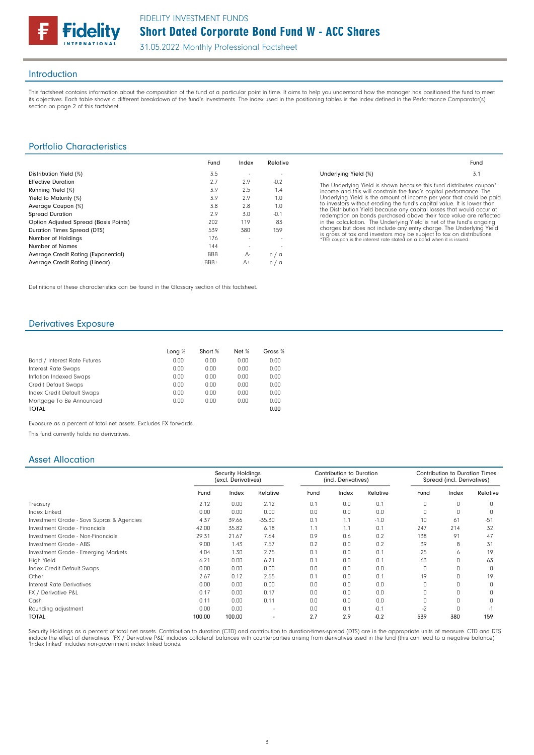

### Introduction

This factsheet contains information about the composition of the fund at a particular point in time. It aims to help you understand how the manager has positioned the fund to meet its objectives. Each table shows a different breakdown of the fund's investments. The index used in the positioning tables is the index defined in the Performance Comparator(s) section on page 2 of this factsheet.

### Portfolio Characteristics

|                                       | Fund       | Index | Relative |
|---------------------------------------|------------|-------|----------|
| Distribution Yield (%)                | 3.5        |       |          |
| <b>Effective Duration</b>             | 2.7        | 2.9   | $-0.2$   |
| Running Yield (%)                     | 3.9        | 2.5   | 1.4      |
| Yield to Maturity (%)                 | 3.9        | 2.9   | 1.0      |
| Average Coupon (%)                    | 3.8        | 2.8   | 1.0      |
| <b>Spread Duration</b>                | 2.9        | 3.0   | $-0.1$   |
| Option Adjusted Spread (Basis Points) | 202        | 119   | 83       |
| Duration Times Spread (DTS)           | 539        | 380   | 159      |
| Number of Holdings                    | 176        |       |          |
| Number of Names                       | 144        |       |          |
| Average Credit Rating (Exponential)   | <b>BBB</b> | А-    | n/a      |
| Average Credit Rating (Linear)        | BBB+       | $A+$  | n/a      |

The Underlying Yield is shown because this fund distributes coupon\* income and this will constrain the fund's capital performance. The Underlying Yield is the amount of income per year that could be paid<br>to investors without erading the fund's capital value. It is lower than<br>the Distribution Yield because any capital losses that would occur at<br>redemption

Fund

Underlying Yield (%) 3.1

Definitions of these characteristics can be found in the Glossary section of this factsheet.

## Derivatives Exposure

|                              | Long % | Short % | Net % | Gross % |
|------------------------------|--------|---------|-------|---------|
| Bond / Interest Rate Futures | 0.00   | 0.00    | 0.00  | 0.00    |
| Interest Rate Swaps          | 0.00   | 0.00    | 0.00  | 0.00    |
| Inflation Indexed Swaps      | 0.00   | 0.00    | 0.00  | 0.00    |
| Credit Default Swaps         | 0.00   | 0.00    | 0.00  | 0.00    |
| Index Credit Default Swaps   | 0.00   | 0.00    | 0.00  | 0.00    |
| Mortgage To Be Announced     | 0.00   | 0.00    | 0.00  | 0.00    |
| <b>TOTAL</b>                 |        |         |       | 0.00    |

Exposure as a percent of total net assets. Excludes FX forwards.

This fund currently holds no derivatives.

### Asset Allocation

|                                           | <b>Security Holdings</b><br>(excl. Derivatives) |        |          | Contribution to Duration<br>(incl. Derivatives) |       |          | <b>Contribution to Duration Times</b><br>Spread (incl. Derivatives) |          |          |
|-------------------------------------------|-------------------------------------------------|--------|----------|-------------------------------------------------|-------|----------|---------------------------------------------------------------------|----------|----------|
|                                           | Fund                                            | Index  | Relative | Fund                                            | Index | Relative | Fund                                                                | Index    | Relative |
| Treasury                                  | 2.12                                            | 0.00   | 2.12     | 0.1                                             | 0.0   | 0.1      | 0                                                                   | 0        | O.       |
| Index Linked                              | 0.00                                            | 0.00   | 0.00     | 0.0                                             | 0.0   | 0.0      | $\Omega$                                                            | $\Omega$ | C        |
| Investment Grade - Sovs Supras & Agencies | 4.37                                            | 39.66  | $-35.30$ | 0.1                                             | 1.1   | $-1.0$   | 10                                                                  | 61       | $-51$    |
| Investment Grade - Financials             | 42.00                                           | 35.82  | 6.18     | 1.1                                             | 1.1   | 0.1      | 247                                                                 | 214      | 32       |
| Investment Grade - Non-Financials         | 29.31                                           | 21.67  | 7.64     | 0.9                                             | 0.6   | 0.2      | 138                                                                 | 91       | 47       |
| Investment Grade - ABS                    | 9.00                                            | 1.43   | 7.57     | 0.2                                             | 0.0   | 0.2      | 39                                                                  | 8        | 31       |
| Investment Grade - Emerging Markets       | 4.04                                            | 1.30   | 2.75     | 0.1                                             | 0.0   | 0.1      | 25                                                                  | 6        | 19       |
| High Yield                                | 6.21                                            | 0.00   | 6.21     | 0.1                                             | 0.0   | 0.1      | 63                                                                  |          | 63       |
| Index Credit Default Swaps                | 0.00                                            | 0.00   | 0.00     | 0.0                                             | 0.0   | 0.0      | $\Omega$                                                            |          | O        |
| Other                                     | 2.67                                            | 0.12   | 2.55     | 0.1                                             | 0.0   | 0.1      | 19                                                                  |          | 19       |
| Interest Rate Derivatives                 | 0.00                                            | 0.00   | 0.00     | 0.0                                             | 0.0   | 0.0      | $\Omega$                                                            |          |          |
| FX / Derivative P&L                       | 0.17                                            | 0.00   | 0.17     | 0.0                                             | 0.0   | 0.0      | $\Omega$                                                            |          |          |
| Cash                                      | 0.11                                            | 0.00   | 0.11     | 0.0                                             | 0.0   | 0.0      | $\Omega$                                                            |          |          |
| Rounding adjustment                       | 0.00                                            | 0.00   |          | 0.0                                             | 0.1   | $-0.1$   | $-2$                                                                |          | ۰H       |
| <b>TOTAL</b>                              | 100.00                                          | 100.00 |          | 2.7                                             | 2.9   | $-0.2$   | 539                                                                 | 380      | 159      |

Security Holdings as a percent of total net assets. Contribution to duration (CTD) and contribution to duration-times-spread (DTS) are in the appropriate units of measure. CTD and DTS include the effect of derivatives. 'FX / Derivative P&L' includes collateral balances with counterparties arising from derivatives used in the fund (this can lead to a negative balance).<br>'Index linked' includes non-governm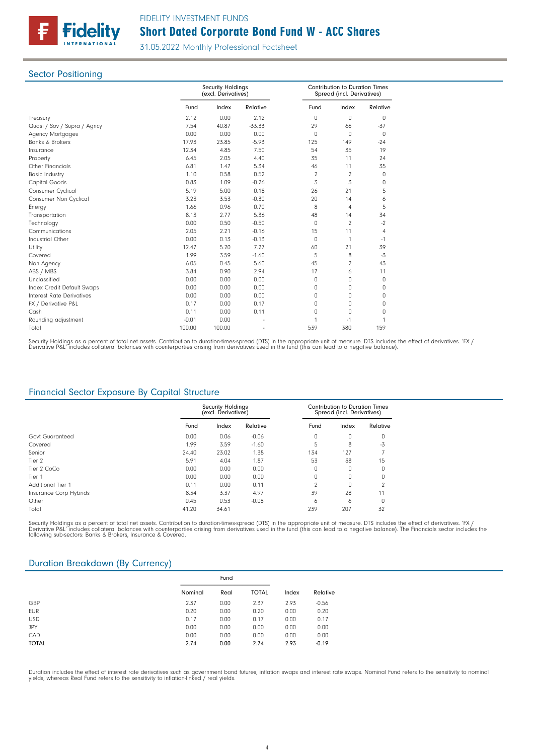

### **Sector Positioning**

|                             |         | <b>Security Holdings</b><br>(excl. Derivatives) |          |                | Spread (incl. Derivatives) | <b>Contribution to Duration Times</b> |  |
|-----------------------------|---------|-------------------------------------------------|----------|----------------|----------------------------|---------------------------------------|--|
|                             | Fund    | Index                                           | Relative | Fund           | Index                      | Relative                              |  |
| Treasury                    | 2.12    | 0.00                                            | 2.12     | 0              | 0                          | 0                                     |  |
| Quasi / Sov / Supra / Agncy | 7.54    | 40.87                                           | $-33.33$ | 29             | 66                         | $-37$                                 |  |
| <b>Agency Mortgages</b>     | 0.00    | 0.00                                            | 0.00     | $\Omega$       | $\Omega$                   | 0                                     |  |
| <b>Banks &amp; Brokers</b>  | 17.93   | 23.85                                           | $-5.93$  | 125            | 149                        | $-24$                                 |  |
| Insurance                   | 12.34   | 4.85                                            | 7.50     | 54             | 35                         | 19                                    |  |
| Property                    | 6.45    | 2.05                                            | 4.40     | 35             | 11                         | 24                                    |  |
| <b>Other Financials</b>     | 6.81    | 1.47                                            | 5.34     | 46             | 11                         | 35                                    |  |
| <b>Basic Industry</b>       | 1.10    | 0.58                                            | 0.52     | $\overline{2}$ | 2                          | 0                                     |  |
| Capital Goods               | 0.83    | 1.09                                            | $-0.26$  | 3              | 3                          | 0                                     |  |
| Consumer Cyclical           | 5.19    | 5.00                                            | 0.18     | 26             | 21                         | 5                                     |  |
| Consumer Non Cyclical       | 3.23    | 3.53                                            | $-0.30$  | 20             | 14                         | 6                                     |  |
| Energy                      | 1.66    | 0.96                                            | 0.70     | 8              | $\overline{4}$             | 5                                     |  |
| Transportation              | 8.13    | 2.77                                            | 5.36     | 48             | 14                         | 34                                    |  |
| Technology                  | 0.00    | 0.50                                            | $-0.50$  | 0              | 2                          | $-2$                                  |  |
| Communications              | 2.05    | 2.21                                            | $-0.16$  | 15             | 11                         | $\overline{4}$                        |  |
| Industrial Other            | 0.00    | 0.13                                            | $-0.13$  | 0              | $\mathbf{1}$               | $-1$                                  |  |
| Utility                     | 12.47   | 5.20                                            | 7.27     | 60             | 21                         | 39                                    |  |
| Covered                     | 1.99    | 3.59                                            | $-1.60$  | 5              | 8                          | $-3$                                  |  |
| Non Agency                  | 6.05    | 0.45                                            | 5.60     | 45             | 2                          | 43                                    |  |
| ABS / MBS                   | 3.84    | 0.90                                            | 2.94     | 17             | 6                          | 11                                    |  |
| Unclassified                | 0.00    | 0.00                                            | 0.00     | 0              | O                          | 0                                     |  |
| Index Credit Default Swaps  | 0.00    | 0.00                                            | 0.00     | 0              | $\Omega$                   | 0                                     |  |
| Interest Rate Derivatives   | 0.00    | 0.00                                            | 0.00     | 0              | 0                          | 0                                     |  |
| FX / Derivative P&L         | 0.17    | 0.00                                            | 0.17     | 0              | $\Omega$                   | 0                                     |  |
| Cash                        | 0.11    | 0.00                                            | 0.11     | $\Omega$       | $\Omega$                   | 0                                     |  |
| Rounding adjustment         | $-0.01$ | 0.00                                            |          |                | $-1$                       |                                       |  |
| Total                       | 100.00  | 100.00                                          |          | 539            | 380                        | 159                                   |  |

Security Holdings as a percent of total net assets. Contribution to duration-times-spread (DTS) in the appropriate unit of measure. DTS includes the effect of derivatives. 'FX /<br>Derivative P&L' includes collateral balances

## Financial Sector Exposure By Capital Structure

|                          |       | <b>Security Holdings</b><br>(excl. Derivatives) |          |          | <b>Contribution to Duration Times</b><br>Spread (incl. Derivatives) |          |
|--------------------------|-------|-------------------------------------------------|----------|----------|---------------------------------------------------------------------|----------|
|                          | Fund  | Index                                           | Relative | Fund     | Index                                                               | Relative |
| Govt Guaranteed          | 0.00  | 0.06                                            | $-0.06$  | 0        | 0                                                                   | 0        |
| Covered                  | 1.99  | 3.59                                            | $-1.60$  |          | 8                                                                   | $-3$     |
| Senior                   | 24.40 | 23.02                                           | 1.38     | 134      | 127                                                                 |          |
| Tier 2                   | 5.91  | 4.04                                            | 1.87     | 53       | 38                                                                  | 15       |
| Tier 2 CoCo              | 0.00  | 0.00                                            | 0.00     | 0        | 0                                                                   | 0        |
| Tier 1                   | 0.00  | 0.00                                            | 0.00     | $\Omega$ | $\Omega$                                                            | $\Omega$ |
| <b>Additional Tier 1</b> | 0.11  | 0.00                                            | 0.11     | $\sim$   | O                                                                   | $\sim$   |
| Insurance Corp Hybrids   | 8.34  | 3.37                                            | 4.97     | 39       | 28                                                                  | 11       |
| Other                    | 0.45  | 0.53                                            | $-0.08$  | 6        | 6                                                                   | 0        |
| Total                    | 41.20 | 34.61                                           |          | 239      | 207                                                                 | 32       |

Security Holdings as a percent of total net assets. Contribution to duration times spread (DTS) in the appropriate unit of measure. DTS includes the effect of derivatives. 'FX /<br>Derivative P&L' includes collateral balances following sub-sectors: Banks & Brokers, Insurance & Covered.

### Duration Breakdown (By Currency)

|              | Fund    |      |              |       |          |
|--------------|---------|------|--------------|-------|----------|
|              | Nominal | Real | <b>TOTAL</b> | Index | Relative |
| GBP          | 2.37    | 0.00 | 2.37         | 2.93  | $-0.56$  |
| <b>EUR</b>   | 0.20    | 0.00 | 0.20         | 0.00  | 0.20     |
| <b>USD</b>   | 0.17    | 0.00 | 0.17         | 0.00  | 0.17     |
| JPY          | 0.00    | 0.00 | 0.00         | 0.00  | 0.00     |
| CAD          | 0.00    | 0.00 | 0.00         | 0.00  | 0.00     |
| <b>TOTAL</b> | 2.74    | 0.00 | 2.74         | 2.93  | $-0.19$  |

Duration includes the effect of interest rate derivatives such as government bond futures, inflation swaps and interest rate swaps. Nominal Fund refers to the sensitivity to nomina<br>yields, whereas Real Fund refers to the s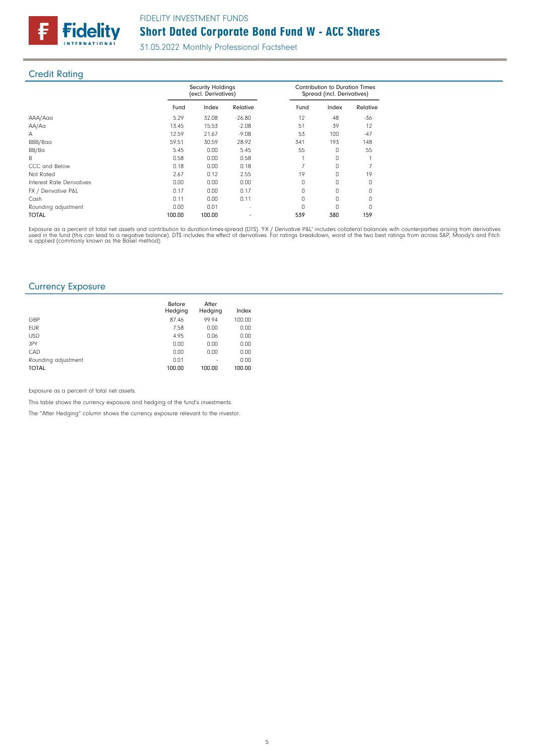

## Credit Rating

|                                  |        | <b>Security Holdings</b><br>(excl. Derivatives) |          |      | <b>Contribution to Duration Times</b><br>Spread (incl. Derivatives) |              |  |
|----------------------------------|--------|-------------------------------------------------|----------|------|---------------------------------------------------------------------|--------------|--|
|                                  | Fund   | Index                                           | Relative | Fund | Index                                                               | Relative     |  |
| AAA/Aaa                          | 5.29   | 32.08                                           | $-26.80$ | 12   | 48                                                                  | $-36$        |  |
| AA/Aa                            | 13.45  | 15.53                                           | $-2.08$  | 51   | 39                                                                  | 12           |  |
| A                                | 12.59  | 21.67                                           | $-9.08$  | 53   | 100                                                                 | $-47$        |  |
| BBB/Baa                          | 59.51  | 30.59                                           | 28.92    | 341  | 193                                                                 | 148          |  |
| BB/Ba                            | 5.45   | 0.00                                            | 5.45     | 55   | O                                                                   | 55           |  |
| B                                | 0.58   | 0.00                                            | 0.58     |      | O.                                                                  |              |  |
| CCC and Below                    | 0.18   | 0.00                                            | 0.18     |      | O                                                                   |              |  |
| Not Rated                        | 2.67   | 0.12                                            | 2.55     | 19   | U                                                                   | 19           |  |
| <b>Interest Rate Derivatives</b> | 0.00   | 0.00                                            | 0.00     | 0    | O                                                                   | O            |  |
| FX / Derivative P&L              | 0.17   | 0.00                                            | 0.17     | O    | O                                                                   | <sup>0</sup> |  |
| Cash                             | 0.11   | 0.00                                            | 0.11     | O    | O                                                                   |              |  |
| Rounding adjustment              | 0.00   | 0.01                                            |          | n    |                                                                     |              |  |
| <b>TOTAL</b>                     | 100.00 | 100.00                                          |          | 539  | 380                                                                 | 159          |  |

Exposure as a percent of total net assets and contribution to duration-times-spread (DTS). 'FX / Derivative P&L' includes collateral balances with counterparties arising from derivatives<br>used in the fund (this can lead to

### Currency Exposure

|                     | Before<br>Hedging | After<br>Hedging | Index  |
|---------------------|-------------------|------------------|--------|
| GBP                 | 87.46             | 99.94            | 100.00 |
| <b>EUR</b>          | 7.58              | 0.00             | 0.00   |
| <b>USD</b>          | 4.95              | 0.06             | 0.00   |
| JPY                 | 0.00              | 0.00             | 0.00   |
| CAD                 | 0.00              | 0.00             | 0.00   |
| Rounding adjustment | 0.01              | ٠                | 0.00   |
| <b>TOTAL</b>        | 100.00            | 100.00           | 100.00 |

Exposure as a percent of total net assets.

This table shows the currency exposure and hedging of the fund's investments.

The "After Hedging" column shows the currency exposure relevant to the investor.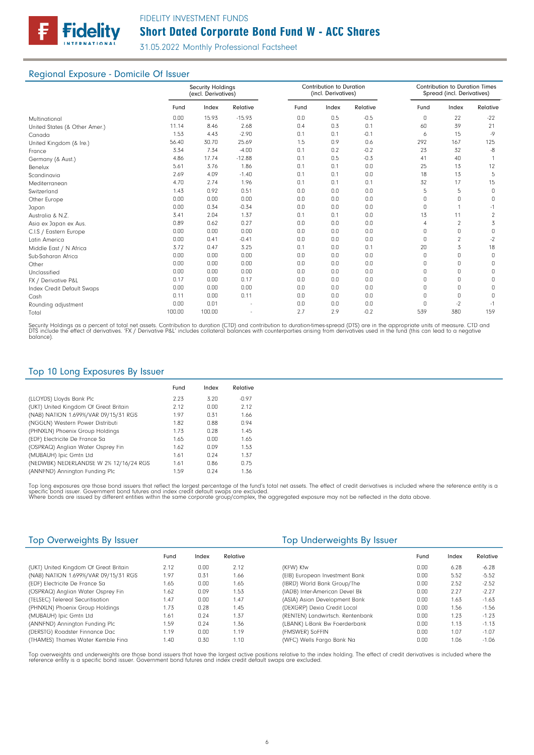

### Regional Exposure - Domicile Of Issuer

|                               |        | <b>Security Holdings</b><br>(excl. Derivatives) |          |      | Contribution to Duration<br>(incl. Derivatives) |          |              | <b>Contribution to Duration Times</b><br>Spread (incl. Derivatives) |          |
|-------------------------------|--------|-------------------------------------------------|----------|------|-------------------------------------------------|----------|--------------|---------------------------------------------------------------------|----------|
|                               | Fund   | Index                                           | Relative | Fund | Index                                           | Relative | Fund         | Index                                                               | Relative |
| Multinational                 | 0.00   | 15.93                                           | $-15.93$ | 0.0  | 0.5                                             | $-0.5$   | $\Omega$     | 22                                                                  | $-22$    |
| United States (& Other Amer.) | 11.14  | 8.46                                            | 2.68     | 0.4  | 0.3                                             | 0.1      | 60           | 39                                                                  | 21       |
| Canada                        | 1.53   | 4.43                                            | $-2.90$  | 0.1  | 0.1                                             | $-0.1$   | 6            | 15                                                                  | $-9$     |
| United Kingdom (& Ire.)       | 56.40  | 30.70                                           | 25.69    | 1.5  | 0.9                                             | 0.6      | 292          | 167                                                                 | 125      |
| France                        | 3.34   | 7.34                                            | $-4.00$  | 0.1  | 0.2                                             | $-0.2$   | 23           | 32                                                                  | -8       |
| Germany (& Aust.)             | 4.86   | 17.74                                           | $-12.88$ | 0.1  | 0.5                                             | $-0.3$   | 41           | 40                                                                  |          |
| Benelux                       | 5.61   | 3.76                                            | 1.86     | 0.1  | 0.1                                             | 0.0      | 25           | 13                                                                  | 12       |
| Scandinavia                   | 2.69   | 4.09                                            | $-1.40$  | 0.1  | 0.1                                             | 0.0      | 18           | 13                                                                  | 5        |
| Mediterranean                 | 4.70   | 2.74                                            | 1.96     | 0.1  | 0.1                                             | 0.1      | 32           | 17                                                                  | 15       |
| Switzerland                   | 1.43   | 0.92                                            | 0.51     | 0.0  | 0.0                                             | 0.0      | 5            | 5                                                                   | $\Omega$ |
| Other Europe                  | 0.00   | 0.00                                            | 0.00     | 0.0  | 0.0                                             | 0.0      | $\Omega$     | 0                                                                   | $\Box$   |
| Japan                         | 0.00   | 0.34                                            | $-0.34$  | 0.0  | 0.0                                             | 0.0      | $\Omega$     |                                                                     | $-1$     |
| Australia & N.Z.              | 3.41   | 2.04                                            | 1.37     | 0.1  | 0.1                                             | 0.0      | 13           | 11                                                                  | 2        |
| Asia ex Japan ex Aus.         | 0.89   | 0.62                                            | 0.27     | 0.0  | 0.0                                             | 0.0      | 4            | $\overline{2}$                                                      | 3        |
| C.I.S / Eastern Europe        | 0.00   | 0.00                                            | 0.00     | 0.0  | 0.0                                             | 0.0      | <sup>0</sup> | 0                                                                   | $\Omega$ |
| Latin America                 | 0.00   | 0.41                                            | $-0.41$  | 0.0  | 0.0                                             | 0.0      | $\Omega$     | $\overline{2}$                                                      | $-2$     |
| Middle East / N Africa        | 3.72   | 0.47                                            | 3.25     | 0.1  | 0.0                                             | 0.1      | 20           | 3                                                                   | 18       |
| Sub-Saharan Africa            | 0.00   | 0.00                                            | 0.00     | 0.0  | 0.0                                             | 0.0      | $\Omega$     | 0                                                                   | $\Box$   |
| Other                         | 0.00   | 0.00                                            | 0.00     | 0.0  | 0.0                                             | 0.0      | $\Omega$     | 0                                                                   | $\Omega$ |
| Unclassified                  | 0.00   | 0.00                                            | 0.00     | 0.0  | 0.0                                             | 0.0      | $\cap$       | $\Omega$                                                            | 0        |
| FX / Derivative P&L           | 0.17   | 0.00                                            | 0.17     | 0.0  | 0.0                                             | 0.0      | 0            | 0                                                                   | 0        |
| Index Credit Default Swaps    | 0.00   | 0.00                                            | 0.00     | 0.0  | 0.0                                             | 0.0      | $\cap$       | 0                                                                   | $\Omega$ |
| Cash                          | 0.11   | 0.00                                            | 0.11     | 0.0  | 0.0                                             | 0.0      | $\Omega$     | 0                                                                   | 0        |
| Rounding adjustment           | 0.00   | 0.01                                            |          | 0.0  | 0.0                                             | 0.0      | <sup>0</sup> | $-2$                                                                | $-1$     |
| Total                         | 100.00 | 100.00                                          |          | 2.7  | 2.9                                             | $-0.2$   | 539          | 380                                                                 | 159      |

Security Holdings as a percent of total net assets. Contribution to duration (CTD) and contribution to duration-times-spread (DTS) are in the appropriate units of measure. CTD and<br>DTS include the effect of derivatives. 'FX bio meio

## Top 10 Long Exposures By Issuer

|                                        | Fund | Index | Relative |
|----------------------------------------|------|-------|----------|
| (LLOYDS) Lloyds Bank Plc               | 2.23 | 3.20  | $-0.97$  |
| (UKT) United Kingdom Of Great Britain  | 2.12 | 0.00  | 2.12     |
| (NAB) NATION 1.699%/VAR 09/15/31 RGS   | 1.97 | 0.31  | 1.66     |
| (NGGLN) Western Power Distributi       | 1.82 | 0.88  | 0.94     |
| (PHNXLN) Phoenix Group Holdings        | 1.73 | 0.28  | 1.45     |
| (EDF) Electricite De France Sa         | 1.65 | 0.00  | 1.65     |
| (OSPRAQ) Anglian Water Osprey Fin      | 1.62 | 0.09  | 1.53     |
| (MUBAUH) Ipic Gmtn Ltd                 | 1.61 | 0.24  | 1.37     |
| (NEDWBK) NEDERLANDSE W 2% 12/16/24 RGS | 1.61 | 0.86  | 0.75     |
| (ANNFND) Annington Funding Plc         | 1.59 | 0.24  | 1.36     |

Top long exposures are those bond issuers that reflect the largest percentage of the fund's total net assets. The effect of credit derivatives is included where the reference entity is a<br>specific bond issuer. Government bo

| Top Overweights By Issuer             |      |       |          | Top Underweights By Issuer       |      |       |          |
|---------------------------------------|------|-------|----------|----------------------------------|------|-------|----------|
|                                       | Fund | Index | Relative |                                  | Fund | Index | Relative |
| (UKT) United Kingdom Of Great Britain | 2.12 | 0.00  | 2.12     | (KFW) Kfw                        | 0.00 | 6.28  | $-6.28$  |
| (NAB) NATION 1.699%/VAR 09/15/31 RGS  | 1.97 | 0.31  | 1.66     | (EIB) European Investment Bank   | 0.00 | 5.52  | $-5.52$  |
| (EDF) Electricite De France Sa        | 1.65 | 0.00  | 1.65     | (IBRD) World Bank Group/The      | 0.00 | 2.52  | $-2.52$  |
| (OSPRAQ) Anglian Water Osprey Fin     | 1.62 | 0.09  | 1.53     | (IADB) Inter-American Devel Bk   | 0.00 | 2.27  | $-2.27$  |
| (TELSEC) Telereal Securitisation      | 1.47 | 0.00  | 1.47     | (ASIA) Asian Development Bank    | 0.00 | 1.63  | $-1.63$  |
| (PHNXLN) Phoenix Group Holdings       | 1.73 | 0.28  | 1.45     | (DEXGRP) Dexia Credit Local      | 0.00 | 1.56  | $-1.56$  |
| (MUBAUH) Ipic Gmtn Ltd                | 1.61 | 0.24  | 1.37     | (RENTEN) Landwirtsch. Rentenbank | 0.00 | 1.23  | $-1.23$  |
| (ANNFND) Annington Funding Plc        | 1.59 | 0.24  | 1.36     | (LBANK) L-Bank Bw Foerderbank    | 0.00 | 1.13  | $-1.13$  |
| (DERSTG) Roadster Finnance Dac        | 1.19 | 0.00  | 1.19     | (FMSWER) SoFFIN                  | 0.00 | 1.07  | $-1.07$  |
| (THAMES) Thames Water Kemble Fina     | 1.40 | 0.30  | 1.10     | (WFC) Wells Fargo Bank Na        | 0.00 | 1.06  | $-1.06$  |

Top overweights and underweights are those bond issuers that have the largest active positions relative to the index holding. The effect of credit derivatives is included where the reference entity is a specific bond issuer. Government bond futures and index credit default swaps are excluded.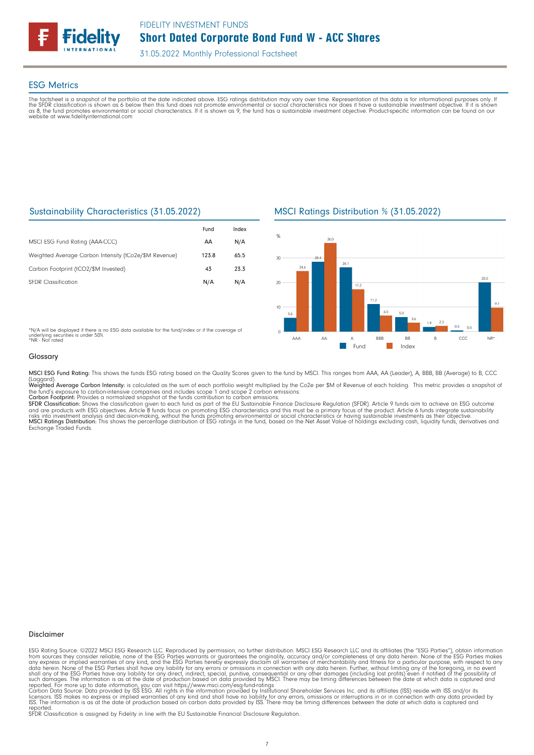

### ESG Metrics

The factsheet is a snapshot of the portfolio at the date indicated above. ESG ratings distribution may vary over time. Representation of this data is for informational purposes only. If<br>the SFDR classification is shown as

### Sustainability Characteristics (31.05.2022)

|                                                       | Fund  | Index |
|-------------------------------------------------------|-------|-------|
| MSCI ESG Fund Rating (AAA-CCC)                        | AA    | N/A   |
| Weighted Average Carbon Intensity (tCo2e/\$M Revenue) | 123.8 | 65.5  |
| Carbon Footprint (tCO2/\$M Invested)                  | 43    | 23.3  |
| <b>SFDR Classification</b>                            | N/A   | N/A   |

### MSCI Ratings Distribution % (31.05.2022)



\*N/A will be displayed if there is no ESG data available for the fund/index or if the coverage of<br>underlying securities is under 50%.<br>\*NR - Not rated

#### Glossary

MSCI ESG Fund Rating: This shows the funds ESG rating based on the Quality Scores given to the fund by MSCI. This ranges from AAA, AA (Leader), A, BBB, BB (Average) to B, CCC (Laggard).<br>**Weighted Average Carbon Intensity**: is calculated as the sum of each portfolio weight multiplied by the Co2e per \$M of Revenue of each holding. This metric provides a snapshot o

the fund's exposure to carbon-intensive companies and includes scope 1 and scope 2 carbon emissions.<br><mark>Carbon Footprint</mark>: Provides a normalized snapshot of the funds contribution to carbon emissions.

SFDR Classification: Shows the classification given to each fund as part of the EU Sustainable Finance Disclosure Regulation (SFDR). Article 9 funds aim to achieve an ESG outcome<br>and are products with ESG objectives. Artic Exchange Traded Funds.

#### Disclaimer

ESG Rating Source: ©2022 MSCI ESG Research LLC. Reproduced by permission, no further distribution. MSCI ESG Research LLC and its affiliates (the "ESG Parties"), obtain information<br>from sources they consider reliable, none

reported. SFDR Classification is assigned by Fidelity in line with the EU Sustainable Financial Disclosure Regulation.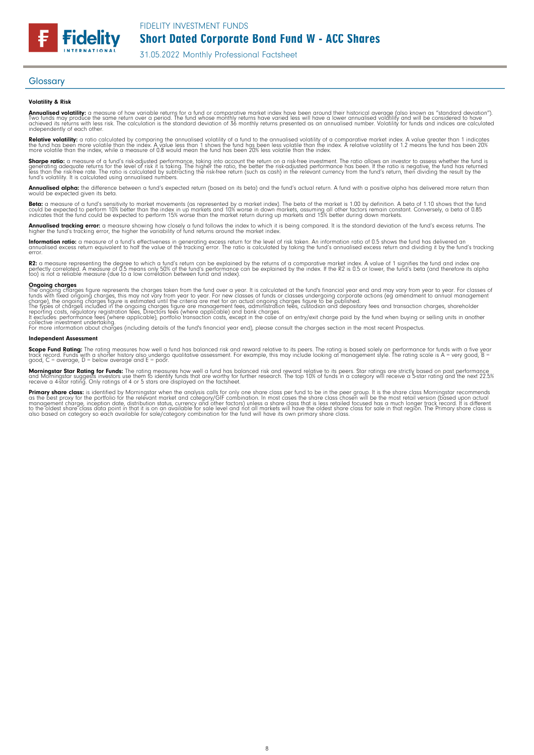### **Glossary**

**Fidelity** 

#### Volatility & Risk

**Annualised volatility:** a measure of how variable returns for a fund or comparative market index have been around their historical average (also known as "standard deviation").<br>Two funds may produce the same return over a independently of each other.

**Relative volatility:** a ratio calculated by comparing the annualised volatility of a fund to the annualised volatility of a comparative market index. A value greater than 1 indicates<br>the fund has been more volatile than t

**Sharpe ratio:** a measure of a fund's risk-adjusted performance, taking into account the return on a risk-free investment. The ratio allows an investor to assess whether the fund is<br>generating adequate returns for the leve

**Annualised alpha:** the difference between a fund's expected return (based on its beta) and the fund's actual return. A fund with a positive alpha has delivered more return than<br>would be expected given its beta.

**Beta:** a measure of a fund's sensitivity to market movements (as represented by a market index). The beta of the market is 1.00 by definition. A beta of 1.10 shows that the fund<br>could be expected to perform 10% better tha

**Annualised tracking error:** a measure showing how closely a fund follows the index to which it is being compared. It is the standard deviation of the fund's excess returns. The<br>higher the fund's tracking error, the higher

**Information ratio:** a measure of a fund's effectiveness in generating excess return for the level of risk taken. An information ratio of 0.5 shows the fund has delivered an<br>annualised excess return equivalent to half the error.

**R2:** a measure representing the degree to which a fund's return can be explained by the returns of a comparative market index. A value of 1 signifies the fund and index are<br>perfectly correlated. A measure of 0.5 means onl

**Ongoing charges**<br>The ongoing charges figure represents the charges taken from the fund over a year. It is calculated at the fund's financial year end and may vary from year to year. For classes of<br>funds with fixed ongoing

collective investment undertaking. For more information about charges (including details of the fund's financial year end), please consult the charges section in the most recent Prospectus.

#### Independent Assessment

**Scope Fund Rating:** The rating measures how well a fund has balanced risk and reward relative to its peers. The rating is based solely on performance for funds with a five year<br>track record. Funds with a shorter history a

**Morningstar Star Rating for Funds:** The rating measures how well a fund has balanced risk and reward relative to its peers. Star ratings are strictly based on past performance<br>and Morningstar suggests investors use them t

**Primary share class**: is identified by Morningstar when the analysis calls for only one share class per fund to be in the peer group. It is the share class hormingstar recommends<br>as the best proxy for the portfolio for th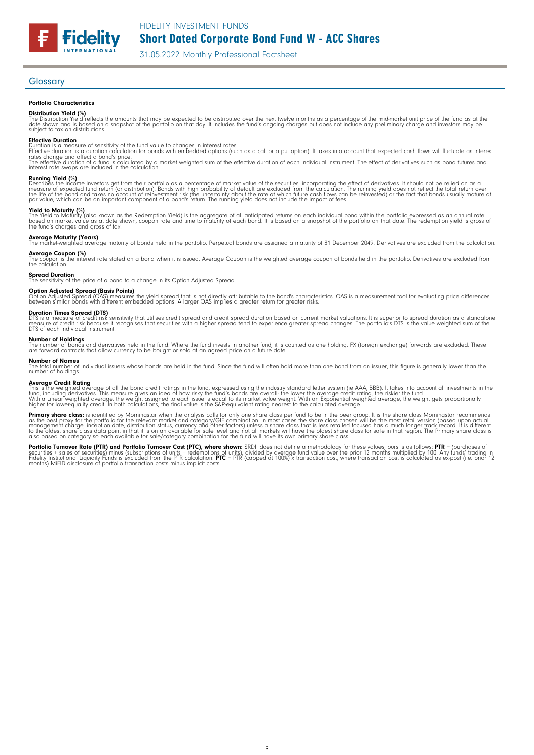FIDELITY INVESTMENT FUNDS

31.05.2022 Monthly Professional Factsheet

#### Glossary

#### Portfolio Characteristics

**Fidelity** 

**Distribution Yield (%)**<br>The Distribution Yield reflects the amounts that may be expected to be distributed over the next twelve months as a percentage of the mid-market unit price of the fund as at the<br>date shown and is b

**Effective Duration**<br>Duration is a measure of sensitivity of the fund value to changes in interest rates.<br>Effective duration is a duration calculation for bonds with embedded options (such as a call or a put option). It ta The effective duration of a fund is calculated by a market weighted sum of the effective duration of each individual instrument. The effect of derivatives such as bond futures and<br>interest rate swaps are included in the ca

**Running Yield (%)**<br>Describes the income investors get from their portfolio as a percentage of market value of the securities, incorporating the effect of derivatives. It should not be relied on as a<br>measure of expected fu

**Yield to Maturity (%)**<br>The Yield to Maturity (also known as the Redemption Yield) is the aggregate of all anticipated returns on each individual bond within the portfolio expressed as an annual rate<br>based on market value

**Average Maturity (Years)**<br>The market-weighted average maturity of bonds held in the portfolio. Perpetual bonds are assigned a maturity of 31 December 2049. Derivatives are excluded from the calculation.

**Average Coupon (%)**<br>The coupon is the interest rate stated on a bond when it is issued. Average Coupon is the weighted average coupon of bonds held in the portfolio. Derivatives are excluded from<br>the calculation.

**Spread Duration**<br>The sensitivity of the price of a bond to a change in its Option Adjusted Spread.

**Option Adjusted Spread (Basis Points)**<br>Option Adjusted Spread (OAS) measures the yield spread that is not directly attributable to the bond's characteristics. OAS is a measurement tool for evaluating price differences<br>bet

**Duration Times Spread (DTS)**<br>DTS is a measure of credit risk sensitivity that utilises credit spread and credit spread duration based on current market valuations. It is superior to spread duration as a standalone<br>measure

#### Number of Holdings

The number of bonds and derivatives held in the fund. Where the fund invests in another fund, it is counted as one holding. FX (foreign exchange) forwards are excluded. These<br>are forward contracts that allow currency to be

**Number of Names**<br>The total number of individual issuers whose bonds are held in the fund. Since the fund will often hold more than one bond from an issuer, this figure is generally lower than the<br>number of holdings.

**Average Credit Rating**<br>This is the weighted average of all the bond credit ratings in the fund, expressed using the industry standard letter system (ie AAA, BBB). It takes into account all investments in the<br>fund, includi

**Primary share class:** is identified by Morningstar when the analysis calls for only one share class per fund to be in the peer group. It is the share class Morningstar recommends as the share class is identified by Mornin also based on category so each available for sale/category combination for the fund will have its own primary share class.

**Portfolio Turnover Rate (PTR) and Portfolio Turnover Cost (PTC), where shown:** SRDII does not define a methodology for these values; ours is as follows: **PTR** = (purchases of<br>securities + sales of securities) minus (subsc